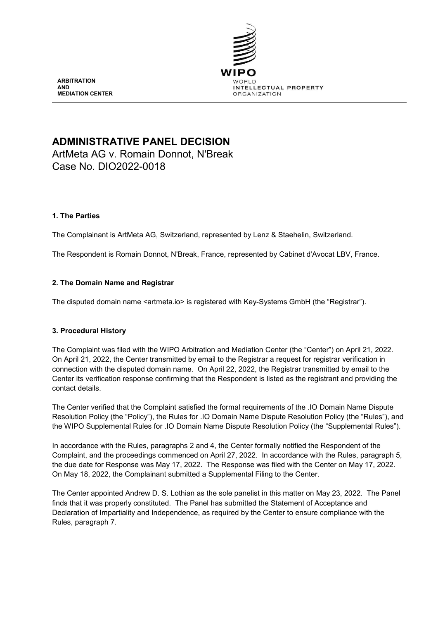

**ARBITRATION AND MEDIATION CENTER**

# **ADMINISTRATIVE PANEL DECISION**

ArtMeta AG v. Romain Donnot, N'Break Case No. DIO2022-0018

# **1. The Parties**

The Complainant is ArtMeta AG, Switzerland, represented by Lenz & Staehelin, Switzerland.

The Respondent is Romain Donnot, N'Break, France, represented by Cabinet d'Avocat LBV, France.

# **2. The Domain Name and Registrar**

The disputed domain name <artmeta.io> is registered with Key-Systems GmbH (the "Registrar").

# **3. Procedural History**

The Complaint was filed with the WIPO Arbitration and Mediation Center (the "Center") on April 21, 2022. On April 21, 2022, the Center transmitted by email to the Registrar a request for registrar verification in connection with the disputed domain name. On April 22, 2022, the Registrar transmitted by email to the Center its verification response confirming that the Respondent is listed as the registrant and providing the contact details.

The Center verified that the Complaint satisfied the formal requirements of the .IO Domain Name Dispute Resolution Policy (the "Policy"), the Rules for .IO Domain Name Dispute Resolution Policy (the "Rules"), and the WIPO Supplemental Rules for .IO Domain Name Dispute Resolution Policy (the "Supplemental Rules").

In accordance with the Rules, paragraphs 2 and 4, the Center formally notified the Respondent of the Complaint, and the proceedings commenced on April 27, 2022. In accordance with the Rules, paragraph 5, the due date for Response was May 17, 2022. The Response was filed with the Center on May 17, 2022. On May 18, 2022, the Complainant submitted a Supplemental Filing to the Center.

The Center appointed Andrew D. S. Lothian as the sole panelist in this matter on May 23, 2022. The Panel finds that it was properly constituted. The Panel has submitted the Statement of Acceptance and Declaration of Impartiality and Independence, as required by the Center to ensure compliance with the Rules, paragraph 7.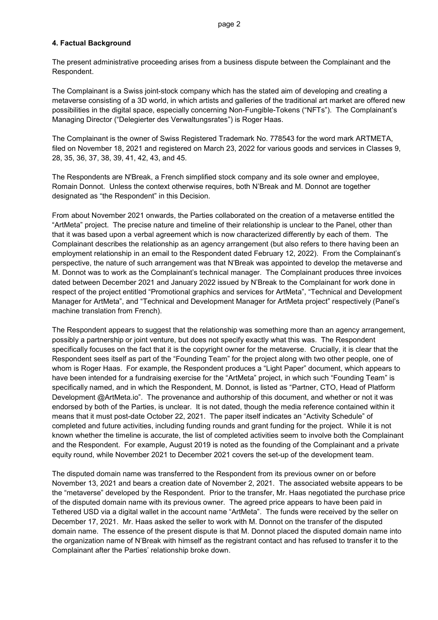### **4. Factual Background**

The present administrative proceeding arises from a business dispute between the Complainant and the Respondent.

The Complainant is a Swiss joint-stock company which has the stated aim of developing and creating a metaverse consisting of a 3D world, in which artists and galleries of the traditional art market are offered new possibilities in the digital space, especially concerning Non-Fungible-Tokens ("NFTs"). The Complainant's Managing Director ("Delegierter des Verwaltungsrates") is Roger Haas.

The Complainant is the owner of Swiss Registered Trademark No. 778543 for the word mark ARTMETA, filed on November 18, 2021 and registered on March 23, 2022 for various goods and services in Classes 9, 28, 35, 36, 37, 38, 39, 41, 42, 43, and 45.

The Respondents are N'Break, a French simplified stock company and its sole owner and employee, Romain Donnot. Unless the context otherwise requires, both N'Break and M. Donnot are together designated as "the Respondent" in this Decision.

From about November 2021 onwards, the Parties collaborated on the creation of a metaverse entitled the "ArtMeta" project. The precise nature and timeline of their relationship is unclear to the Panel, other than that it was based upon a verbal agreement which is now characterized differently by each of them. The Complainant describes the relationship as an agency arrangement (but also refers to there having been an employment relationship in an email to the Respondent dated February 12, 2022). From the Complainant's perspective, the nature of such arrangement was that N'Break was appointed to develop the metaverse and M. Donnot was to work as the Complainant's technical manager. The Complainant produces three invoices dated between December 2021 and January 2022 issued by N'Break to the Complainant for work done in respect of the project entitled "Promotional graphics and services for ArtMeta", "Technical and Development Manager for ArtMeta", and "Technical and Development Manager for ArtMeta project" respectively (Panel's machine translation from French).

The Respondent appears to suggest that the relationship was something more than an agency arrangement, possibly a partnership or joint venture, but does not specify exactly what this was. The Respondent specifically focuses on the fact that it is the copyright owner for the metaverse. Crucially, it is clear that the Respondent sees itself as part of the "Founding Team" for the project along with two other people, one of whom is Roger Haas. For example, the Respondent produces a "Light Paper" document, which appears to have been intended for a fundraising exercise for the "ArtMeta" project, in which such "Founding Team" is specifically named, and in which the Respondent, M. Donnot, is listed as "Partner, CTO, Head of Platform Development @ArtMeta.io". The provenance and authorship of this document, and whether or not it was endorsed by both of the Parties, is unclear. It is not dated, though the media reference contained within it means that it must post-date October 22, 2021. The paper itself indicates an "Activity Schedule" of completed and future activities, including funding rounds and grant funding for the project. While it is not known whether the timeline is accurate, the list of completed activities seem to involve both the Complainant and the Respondent. For example, August 2019 is noted as the founding of the Complainant and a private equity round, while November 2021 to December 2021 covers the set-up of the development team.

The disputed domain name was transferred to the Respondent from its previous owner on or before November 13, 2021 and bears a creation date of November 2, 2021. The associated website appears to be the "metaverse" developed by the Respondent. Prior to the transfer, Mr. Haas negotiated the purchase price of the disputed domain name with its previous owner. The agreed price appears to have been paid in Tethered USD via a digital wallet in the account name "ArtMeta". The funds were received by the seller on December 17, 2021. Mr. Haas asked the seller to work with M. Donnot on the transfer of the disputed domain name. The essence of the present dispute is that M. Donnot placed the disputed domain name into the organization name of N'Break with himself as the registrant contact and has refused to transfer it to the Complainant after the Parties' relationship broke down.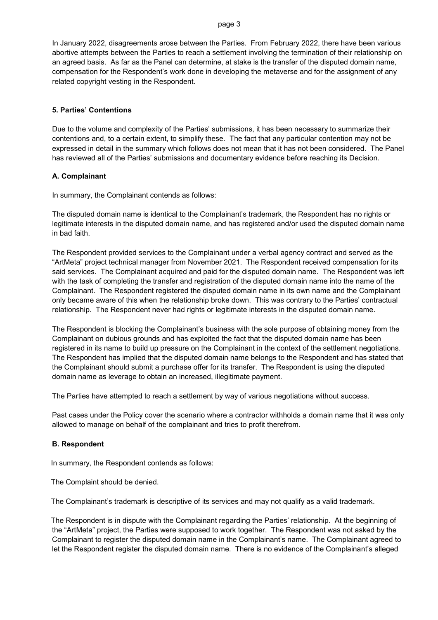In January 2022, disagreements arose between the Parties. From February 2022, there have been various abortive attempts between the Parties to reach a settlement involving the termination of their relationship on an agreed basis. As far as the Panel can determine, at stake is the transfer of the disputed domain name, compensation for the Respondent's work done in developing the metaverse and for the assignment of any related copyright vesting in the Respondent.

### **5. Parties' Contentions**

Due to the volume and complexity of the Parties' submissions, it has been necessary to summarize their contentions and, to a certain extent, to simplify these. The fact that any particular contention may not be expressed in detail in the summary which follows does not mean that it has not been considered. The Panel has reviewed all of the Parties' submissions and documentary evidence before reaching its Decision.

### **A. Complainant**

In summary, the Complainant contends as follows:

The disputed domain name is identical to the Complainant's trademark, the Respondent has no rights or legitimate interests in the disputed domain name, and has registered and/or used the disputed domain name in bad faith.

The Respondent provided services to the Complainant under a verbal agency contract and served as the "ArtMeta" project technical manager from November 2021. The Respondent received compensation for its said services. The Complainant acquired and paid for the disputed domain name. The Respondent was left with the task of completing the transfer and registration of the disputed domain name into the name of the Complainant. The Respondent registered the disputed domain name in its own name and the Complainant only became aware of this when the relationship broke down. This was contrary to the Parties' contractual relationship. The Respondent never had rights or legitimate interests in the disputed domain name.

The Respondent is blocking the Complainant's business with the sole purpose of obtaining money from the Complainant on dubious grounds and has exploited the fact that the disputed domain name has been registered in its name to build up pressure on the Complainant in the context of the settlement negotiations. The Respondent has implied that the disputed domain name belongs to the Respondent and has stated that the Complainant should submit a purchase offer for its transfer. The Respondent is using the disputed domain name as leverage to obtain an increased, illegitimate payment.

The Parties have attempted to reach a settlement by way of various negotiations without success.

Past cases under the Policy cover the scenario where a contractor withholds a domain name that it was only allowed to manage on behalf of the complainant and tries to profit therefrom.

#### **B. Respondent**

In summary, the Respondent contends as follows:

The Complaint should be denied.

The Complainant's trademark is descriptive of its services and may not qualify as a valid trademark.

The Respondent is in dispute with the Complainant regarding the Parties' relationship. At the beginning of the "ArtMeta" project, the Parties were supposed to work together. The Respondent was not asked by the Complainant to register the disputed domain name in the Complainant's name. The Complainant agreed to let the Respondent register the disputed domain name. There is no evidence of the Complainant's alleged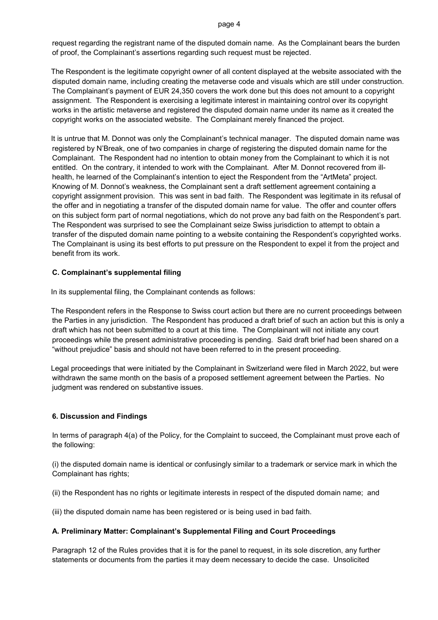request regarding the registrant name of the disputed domain name. As the Complainant bears the burden of proof, the Complainant's assertions regarding such request must be rejected.

The Respondent is the legitimate copyright owner of all content displayed at the website associated with the disputed domain name, including creating the metaverse code and visuals which are still under construction. The Complainant's payment of EUR 24,350 covers the work done but this does not amount to a copyright assignment. The Respondent is exercising a legitimate interest in maintaining control over its copyright works in the artistic metaverse and registered the disputed domain name under its name as it created the copyright works on the associated website. The Complainant merely financed the project.

It is untrue that M. Donnot was only the Complainant's technical manager. The disputed domain name was registered by N'Break, one of two companies in charge of registering the disputed domain name for the Complainant. The Respondent had no intention to obtain money from the Complainant to which it is not entitled. On the contrary, it intended to work with the Complainant. After M. Donnot recovered from illhealth, he learned of the Complainant's intention to eject the Respondent from the "ArtMeta" project. Knowing of M. Donnot's weakness, the Complainant sent a draft settlement agreement containing a copyright assignment provision. This was sent in bad faith. The Respondent was legitimate in its refusal of the offer and in negotiating a transfer of the disputed domain name for value. The offer and counter offers on this subject form part of normal negotiations, which do not prove any bad faith on the Respondent's part. The Respondent was surprised to see the Complainant seize Swiss jurisdiction to attempt to obtain a transfer of the disputed domain name pointing to a website containing the Respondent's copyrighted works. The Complainant is using its best efforts to put pressure on the Respondent to expel it from the project and benefit from its work.

# **C. Complainant's supplemental filing**

In its supplemental filing, the Complainant contends as follows:

The Respondent refers in the Response to Swiss court action but there are no current proceedings between the Parties in any jurisdiction. The Respondent has produced a draft brief of such an action but this is only a draft which has not been submitted to a court at this time. The Complainant will not initiate any court proceedings while the present administrative proceeding is pending. Said draft brief had been shared on a "without prejudice" basis and should not have been referred to in the present proceeding.

Legal proceedings that were initiated by the Complainant in Switzerland were filed in March 2022, but were withdrawn the same month on the basis of a proposed settlement agreement between the Parties. No judgment was rendered on substantive issues.

# **6. Discussion and Findings**

In terms of paragraph 4(a) of the Policy, for the Complaint to succeed, the Complainant must prove each of the following:

(i) the disputed domain name is identical or confusingly similar to a trademark or service mark in which the Complainant has rights;

(ii) the Respondent has no rights or legitimate interests in respect of the disputed domain name; and

(iii) the disputed domain name has been registered or is being used in bad faith.

## **A. Preliminary Matter: Complainant's Supplemental Filing and Court Proceedings**

Paragraph 12 of the Rules provides that it is for the panel to request, in its sole discretion, any further statements or documents from the parties it may deem necessary to decide the case. Unsolicited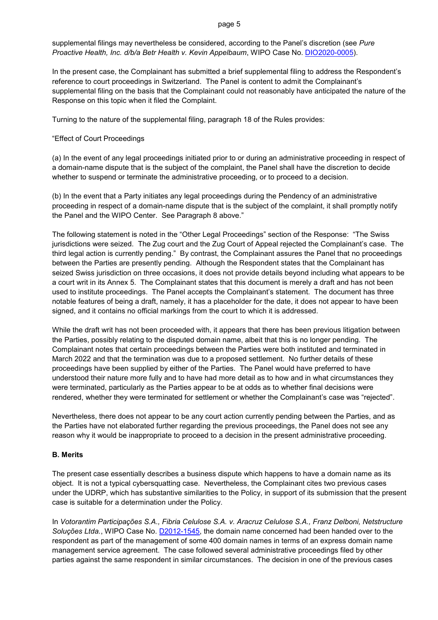supplemental filings may nevertheless be considered, according to the Panel's discretion (see *Pure Proactive Health, Inc. d/b/a Betr Health v. Kevin Appelbaum*, WIPO Case No. [DIO2020-0005\)](https://www.wipo.int/amc/en/domains/search/text.jsp?case=DIO2020-0005).

In the present case, the Complainant has submitted a brief supplemental filing to address the Respondent's reference to court proceedings in Switzerland. The Panel is content to admit the Complainant's supplemental filing on the basis that the Complainant could not reasonably have anticipated the nature of the Response on this topic when it filed the Complaint.

Turning to the nature of the supplemental filing, paragraph 18 of the Rules provides:

### "Effect of Court Proceedings

(a) In the event of any legal proceedings initiated prior to or during an administrative proceeding in respect of a domain-name dispute that is the subject of the complaint, the Panel shall have the discretion to decide whether to suspend or terminate the administrative proceeding, or to proceed to a decision.

(b) In the event that a Party initiates any legal proceedings during the Pendency of an administrative proceeding in respect of a domain-name dispute that is the subject of the complaint, it shall promptly notify the Panel and the WIPO Center. See Paragraph 8 above."

The following statement is noted in the "Other Legal Proceedings" section of the Response: "The Swiss jurisdictions were seized. The Zug court and the Zug Court of Appeal rejected the Complainant's case. The third legal action is currently pending." By contrast, the Complainant assures the Panel that no proceedings between the Parties are presently pending. Although the Respondent states that the Complainant has seized Swiss jurisdiction on three occasions, it does not provide details beyond including what appears to be a court writ in its Annex 5. The Complainant states that this document is merely a draft and has not been used to institute proceedings. The Panel accepts the Complainant's statement. The document has three notable features of being a draft, namely, it has a placeholder for the date, it does not appear to have been signed, and it contains no official markings from the court to which it is addressed.

While the draft writ has not been proceeded with, it appears that there has been previous litigation between the Parties, possibly relating to the disputed domain name, albeit that this is no longer pending. The Complainant notes that certain proceedings between the Parties were both instituted and terminated in March 2022 and that the termination was due to a proposed settlement. No further details of these proceedings have been supplied by either of the Parties. The Panel would have preferred to have understood their nature more fully and to have had more detail as to how and in what circumstances they were terminated, particularly as the Parties appear to be at odds as to whether final decisions were rendered, whether they were terminated for settlement or whether the Complainant's case was "rejected".

Nevertheless, there does not appear to be any court action currently pending between the Parties, and as the Parties have not elaborated further regarding the previous proceedings, the Panel does not see any reason why it would be inappropriate to proceed to a decision in the present administrative proceeding.

#### **B. Merits**

The present case essentially describes a business dispute which happens to have a domain name as its object. It is not a typical cybersquatting case. Nevertheless, the Complainant cites two previous cases under the UDRP, which has substantive similarities to the Policy, in support of its submission that the present case is suitable for a determination under the Policy.

In *Votorantim Participações S.A., Fibria Celulose S.A. v. Aracruz Celulose S.A., Franz Delboni, Netstructure Soluções Ltda.*, WIPO Case No. [D2012-1545,](https://www.wipo.int/amc/en/domains/search/text.jsp?case=D2012-1545) the domain name concerned had been handed over to the respondent as part of the management of some 400 domain names in terms of an express domain name management service agreement. The case followed several administrative proceedings filed by other parties against the same respondent in similar circumstances. The decision in one of the previous cases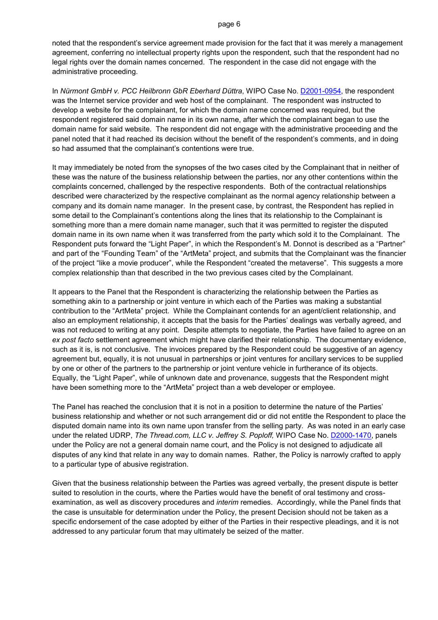noted that the respondent's service agreement made provision for the fact that it was merely a management agreement, conferring no intellectual property rights upon the respondent, such that the respondent had no legal rights over the domain names concerned. The respondent in the case did not engage with the administrative proceeding.

In *Nürmont GmbH v. PCC Heilbronn GbR Eberhard Düttra*, WIPO Case No. [D2001-0954,](https://www.wipo.int/amc/en/domains/decisions/html/2001/d2001-0954.html) the respondent was the Internet service provider and web host of the complainant. The respondent was instructed to develop a website for the complainant, for which the domain name concerned was required, but the respondent registered said domain name in its own name, after which the complainant began to use the domain name for said website. The respondent did not engage with the administrative proceeding and the panel noted that it had reached its decision without the benefit of the respondent's comments, and in doing so had assumed that the complainant's contentions were true.

It may immediately be noted from the synopses of the two cases cited by the Complainant that in neither of these was the nature of the business relationship between the parties, nor any other contentions within the complaints concerned, challenged by the respective respondents. Both of the contractual relationships described were characterized by the respective complainant as the normal agency relationship between a company and its domain name manager. In the present case, by contrast, the Respondent has replied in some detail to the Complainant's contentions along the lines that its relationship to the Complainant is something more than a mere domain name manager, such that it was permitted to register the disputed domain name in its own name when it was transferred from the party which sold it to the Complainant. The Respondent puts forward the "Light Paper", in which the Respondent's M. Donnot is described as a "Partner" and part of the "Founding Team" of the "ArtMeta" project, and submits that the Complainant was the financier of the project "like a movie producer", while the Respondent "created the metaverse". This suggests a more complex relationship than that described in the two previous cases cited by the Complainant.

It appears to the Panel that the Respondent is characterizing the relationship between the Parties as something akin to a partnership or joint venture in which each of the Parties was making a substantial contribution to the "ArtMeta" project. While the Complainant contends for an agent/client relationship, and also an employment relationship, it accepts that the basis for the Parties' dealings was verbally agreed, and was not reduced to writing at any point. Despite attempts to negotiate, the Parties have failed to agree on an *ex post facto* settlement agreement which might have clarified their relationship. The documentary evidence, such as it is, is not conclusive. The invoices prepared by the Respondent could be suggestive of an agency agreement but, equally, it is not unusual in partnerships or joint ventures for ancillary services to be supplied by one or other of the partners to the partnership or joint venture vehicle in furtherance of its objects. Equally, the "Light Paper", while of unknown date and provenance, suggests that the Respondent might have been something more to the "ArtMeta" project than a web developer or employee.

The Panel has reached the conclusion that it is not in a position to determine the nature of the Parties' business relationship and whether or not such arrangement did or did not entitle the Respondent to place the disputed domain name into its own name upon transfer from the selling party. As was noted in an early case under the related UDRP, *The Thread.com, LLC v. Jeffrey S. Poploff,* WIPO Case No. [D2000-1470,](https://www.wipo.int/amc/en/domains/decisions/html/2000/d2000-1470.html) panels under the Policy are not a general domain name court, and the Policy is not designed to adjudicate all disputes of any kind that relate in any way to domain names. Rather, the Policy is narrowly crafted to apply to a particular type of abusive registration.

Given that the business relationship between the Parties was agreed verbally, the present dispute is better suited to resolution in the courts, where the Parties would have the benefit of oral testimony and crossexamination, as well as discovery procedures and *interim* remedies. Accordingly, while the Panel finds that the case is unsuitable for determination under the Policy, the present Decision should not be taken as a specific endorsement of the case adopted by either of the Parties in their respective pleadings, and it is not addressed to any particular forum that may ultimately be seized of the matter.